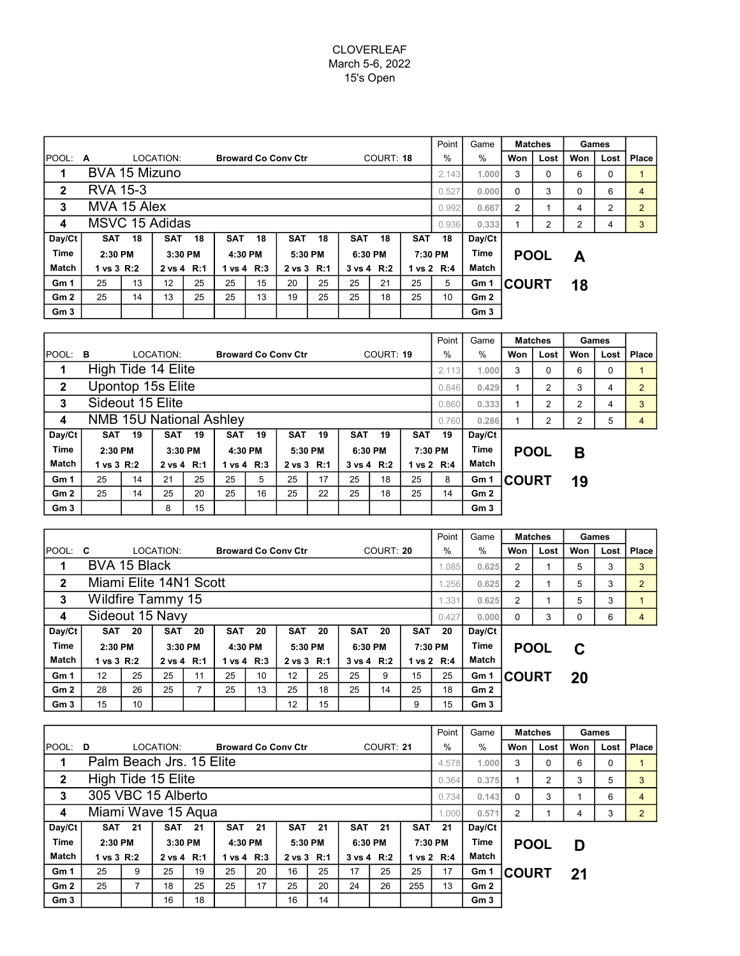## CLOVERLEAF March 5-6, 2022 15's Open

|                 |                       |       |            |         |            |         |                            |                |            |                 |            | Point         | Game            | <b>Matches</b>    |      | Games          |          |                |
|-----------------|-----------------------|-------|------------|---------|------------|---------|----------------------------|----------------|------------|-----------------|------------|---------------|-----------------|-------------------|------|----------------|----------|----------------|
| IPOOL:          | A                     |       | LOCATION:  |         |            |         | <b>Broward Co Conv Ctr</b> |                | COURT: 18  |                 |            | $\frac{0}{0}$ | $\%$            | Won               | Lost | Won            | Lost     | Place          |
| 1               | BVA 15 Mizuno         |       |            |         |            |         |                            |                |            |                 |            |               |                 | 3<br>1.000        | 0    | 6              | $\Omega$ |                |
| $\mathbf{2}$    | <b>RVA 15-3</b>       |       |            |         |            |         |                            |                |            |                 |            |               |                 | $\Omega$<br>0.000 | 3    | 0              | 6        | $\overline{4}$ |
| 3               | MVA 15 Alex           | 0.992 | 0.667      | 2       |            | 4       | 2                          | $\overline{2}$ |            |                 |            |               |                 |                   |      |                |          |                |
| 4               | <b>MSVC 15 Adidas</b> |       |            |         |            |         |                            |                |            |                 |            |               | 0.936<br>0.333  |                   | 2    | $\overline{2}$ | 4        | 3              |
| Day/Ct          | <b>SAT</b>            | 18    | <b>SAT</b> | 18      | <b>SAT</b> | 18      | <b>SAT</b>                 | 18             | <b>SAT</b> | 18              | <b>SAT</b> | 18            | Day/Ct          |                   |      |                |          |                |
| <b>Time</b>     | 2:30 PM<br>3:30 PM    |       |            | 4:30 PM |            | 5:30 PM |                            | 6:30 PM        |            | Time<br>7:30 PM |            | <b>POOL</b>   |                 | A                 |      |                |          |                |
| Match           | 1 vs 3 R:2            |       | 2 vs 4 R:1 |         | 1 vs 4 R:3 |         | 2 vs 3 R:1                 |                |            | 3 vs 4 R:2      |            | 1 vs 2 R:4    | Match           |                   |      |                |          |                |
| Gm <sub>1</sub> | 25                    | 13    | 12         | 25      | 25         | 15      | 20                         | 25             | 25         | 21              | 25         | 5             | Gm 1            | <b>COURT</b>      |      | 18             |          |                |
| Gm <sub>2</sub> | 25                    | 14    | 13         | 25      | 25         | 13      | 19                         | 25             | 25         | 18              | 25         | 10            | Gm2             |                   |      |                |          |                |
| Gm <sub>3</sub> |                       |       |            |         |            |         |                            |                |            |                 |            |               | Gm <sub>3</sub> |                   |      |                |          |                |

|                 |                                |                    |            |         |            |                |                            |            |            |                 |            | Point       | Game   | <b>Matches</b> |      | Games |      |                |
|-----------------|--------------------------------|--------------------|------------|---------|------------|----------------|----------------------------|------------|------------|-----------------|------------|-------------|--------|----------------|------|-------|------|----------------|
| <b>IPOOL:</b>   | в                              |                    | LOCATION:  |         |            |                | <b>Broward Co Conv Ctr</b> |            | COURT: 19  |                 |            | $\%$        | $\%$   | Won            | Lost | Won   | Lost | Place          |
| 1               |                                | High Tide 14 Elite |            |         |            |                |                            |            |            |                 |            |             | 1.000  | 3              | 0    | 6     | 0    |                |
| $\mathbf{2}$    | Upontop 15s Elite              |                    |            |         |            |                |                            |            |            |                 |            |             |        |                | 2    | 3     | 4    | $\overline{2}$ |
| 3               | Sideout 15 Elite               | 0.860              | 0.333      |         | 2          | $\overline{2}$ | 4                          | 3          |            |                 |            |             |        |                |      |       |      |                |
| 4               | <b>NMB 15U National Ashley</b> |                    |            |         |            |                |                            |            |            |                 |            | 0.760       | 0.286  |                | 2    | 2     | 5    | 4              |
| Day/Ct          | <b>SAT</b>                     | 19                 | <b>SAT</b> | 19      | <b>SAT</b> | 19             | <b>SAT</b>                 | 19         | <b>SAT</b> | 19              | <b>SAT</b> | 19          | Day/Ct |                |      |       |      |                |
| <b>Time</b>     | 2:30 PM<br>3:30 PM             |                    |            | 4:30 PM |            | 5:30 PM        |                            | 6:30 PM    |            | Time<br>7:30 PM |            | <b>POOL</b> |        | B              |      |       |      |                |
| Match           | 1 vs 3 R:2                     |                    | 2 vs 4 R:1 |         |            | 1 vs 4 R:3     |                            | 2 vs 3 R:1 |            | 3 vs 4 R:2      |            | 1 vs 2 R:4  | Match  |                |      |       |      |                |
| Gm <sub>1</sub> | 25                             | 14                 | 21         | 25      | 25         | 5              | 25                         | 17         | 25         | 18              | 25         | 8           | Gm 1   | <b>COURT</b>   |      | 19    |      |                |
| Gm2             | 25                             | 14                 | 25         | 20      | 25         | 16             | 25                         | 22         | 25         | 18              | 25         | 14          | Gm2    |                |      |       |      |                |
| Gm <sub>3</sub> |                                |                    | 8          | 15      |            |                |                            |            |            |                 |            |             | Gm3    |                |      |       |      |                |

|                 |                          |    |            |    |                            |            |            |            |            |            |            | Point          | Game            | <b>Matches</b> |      | Games |      |                |
|-----------------|--------------------------|----|------------|----|----------------------------|------------|------------|------------|------------|------------|------------|----------------|-----------------|----------------|------|-------|------|----------------|
| <b>IPOOL:</b>   | C                        |    | LOCATION:  |    | <b>Broward Co Conv Ctr</b> |            |            |            | COURT: 20  |            |            | $\frac{0}{0}$  | %               | Won            | Lost | Won   | Lost | Place          |
| 1               | BVA 15 Black             |    |            |    |                            |            | 1.085      | 0.625      | 2          |            | 5          | 3              | 3 <sup>1</sup>  |                |      |       |      |                |
| $\mathbf{2}$    | Miami Elite 14N1 Scott   |    |            |    |                            | .256       | 0.625      | 2          |            | 5          | 3          | $\overline{2}$ |                 |                |      |       |      |                |
| 3               | <b>Wildfire Tammy 15</b> |    |            |    |                            |            |            |            |            |            |            |                |                 | 2              |      | 5     | 3    |                |
| 4               | Sideout 15 Navy          |    |            |    |                            |            |            |            |            |            |            | 0.427          | 0.000           | 0              | 3    | 0     | 6    | $\overline{4}$ |
| Day/Ct          | <b>SAT</b>               | 20 | <b>SAT</b> | 20 | <b>SAT</b>                 | 20         | <b>SAT</b> | 20         | <b>SAT</b> | 20         | <b>SAT</b> | 20             | Day/Ct          |                |      |       |      |                |
| <b>Time</b>     | 2:30 PM                  |    | 3:30 PM    |    | 4:30 PM                    |            |            | 5:30 PM    | 6:30 PM    |            | 7:30 PM    |                | <b>POOL</b>     |                | C    |       |      |                |
| Match           | 1 vs 3 R:2               |    | 2 vs 4 R:1 |    |                            | 1 vs 4 R:3 |            | 2 vs 3 R:1 |            | 3 vs 4 R:2 |            | 1 vs 2 R:4     | Match           |                |      |       |      |                |
| Gm <sub>1</sub> | 12                       | 25 | 25         | 11 | 25                         | 10         | 12         | 25         | 25         | 9          | 15         | 25             | Gm 1            | <b>COURT</b>   |      | 20    |      |                |
| Gm2             | 28                       | 26 | 25         | ⇁  | 25                         | 13         | 25         | 18         | 25         | 14         | 25         | 18             | Gm2             |                |      |       |      |                |
| Gm <sub>3</sub> | 15                       | 10 |            |    |                            |            | 12         | 15         |            |            | 9          | 15             | Gm <sub>3</sub> |                |      |       |      |                |

|                 |                                   |               |            |         |                            |               |            |          |            |            |                 | Point         | Game            | <b>Matches</b> |      | Games |      |                |
|-----------------|-----------------------------------|---------------|------------|---------|----------------------------|---------------|------------|----------|------------|------------|-----------------|---------------|-----------------|----------------|------|-------|------|----------------|
| $ $ POOL: D     |                                   |               | LOCATION:  |         | <b>Broward Co Conv Ctr</b> |               |            |          |            | COURT: 21  |                 | $\frac{0}{0}$ | $\%$            | Won            | Lost | Won   | Lost | Place          |
| 1               | Palm Beach Jrs. 15 Elite<br>4.578 |               |            |         |                            |               |            |          |            |            |                 |               |                 | 3              | 0    | 6     | 0    |                |
| $\mathbf{2}$    | High Tide 15 Elite                |               |            |         |                            | 0.364         | 0.375      |          | 2          | 3          | 5               | 3             |                 |                |      |       |      |                |
| 3               | 305 VBC 15 Alberto                |               |            |         |                            | 0.734         | 0.143      | $\Omega$ | 3          |            | 6               | 4             |                 |                |      |       |      |                |
| 4               | Miami Wave 15 Agua                |               |            |         |                            |               |            |          |            |            |                 | 1.000         | 0.571           | 2              |      | 4     | 3    | $\overline{2}$ |
| Day/Ct          |                                   | <b>SAT 21</b> | <b>SAT</b> | -21     |                            | <b>SAT 21</b> | <b>SAT</b> | 21       | <b>SAT</b> | 21         | <b>SAT</b>      | 21            | Day/Ct          |                |      |       |      |                |
| <b>Time</b>     | $2:30$ PM                         |               |            | 3:30 PM |                            | 4:30 PM       | 5:30 PM    |          | 6:30 PM    |            | Time<br>7:30 PM |               | <b>POOL</b>     |                | D    |       |      |                |
| Match           | 1 vs 3 R:2                        |               | 2 vs 4 R:1 |         |                            | 1 vs 4 R:3    | 2 vs 3 R:1 |          |            | 3 vs 4 R:2 |                 | 1 vs 2 R:4    | Match           |                |      |       |      |                |
| Gm <sub>1</sub> | 25                                | 9             | 25         | 19      | 25                         | 20            | 16         | 25       | 17         | 25         | 25              | 17            | Gm 1            | <b>ICOURT</b>  |      | 21    |      |                |
| Gm2             | 25                                |               | 18         | 25      | 25                         | 17            | 25         | 20       | 24         | 26         | 255             | 13            | Gm2             |                |      |       |      |                |
| Gm <sub>3</sub> |                                   |               | 16         | 18      |                            |               | 16         | 14       |            |            |                 |               | Gm <sub>3</sub> |                |      |       |      |                |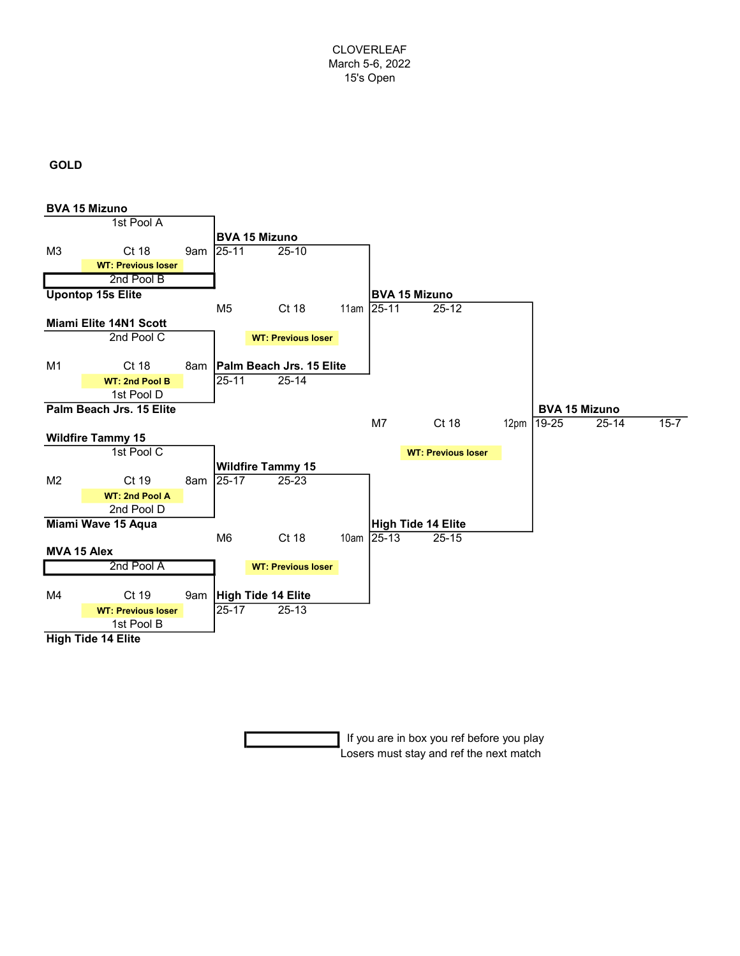CLOVERLEAF March 5-6, 2022 15's Open

## GOLD



 If you are in box you ref before you play Losers must stay and ref the next match